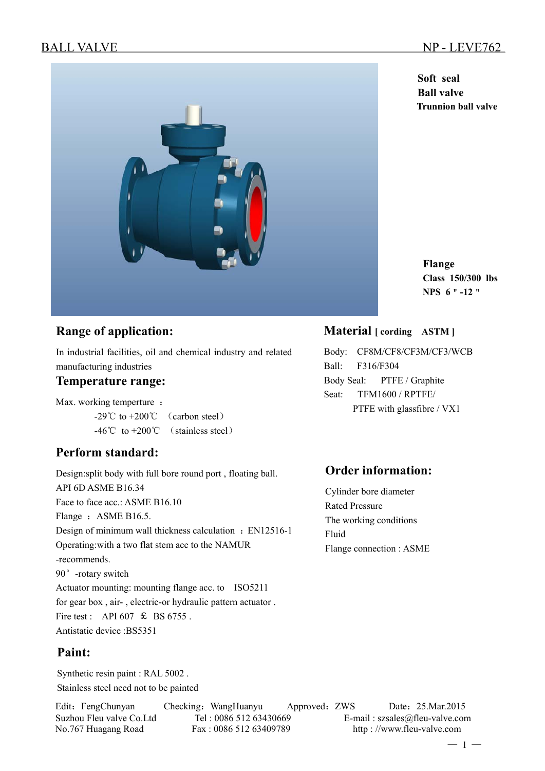**Soft seal Ball valve Trunnion ball valve**

**Flange Class 150/300 lbs NPS 6**"**-12**"

### **Range of application:**

In industrial facilities, oil and chemical industry and related manufacturing industries

#### **Temperature range:**

Max. working temperture :

 $-29^{\circ}$ C to  $+200^{\circ}$  (carbon steel) -46℃ to +200℃ (stainless steel)

## **Perform standard:**

Design:split body with full bore round port , floating ball. API 6D ASME B16.34 Face to face acc.: ASME B16.10 Flange : ASME B16.5. Design of minimum wall thickness calculation : EN12516-1 Operating:with a two flat stem acc to the NAMUR -recommends. 90°-rotary switch Actuator mounting: mounting flange acc. to ISO5211 for gear box , air- , electric-or hydraulic pattern actuator . Fire test : API 607  $\text{\&}$  BS 6755. Antistatic device :BS5351

#### **Paint:**

Synthetic resin paint : RAL 5002 . Stainless steel need not to be painted

Edit: FengChunyan Checking: WangHuanyu Approved: ZWS Date: 25.Mar.2015

**Material [ cording ASTM ]** 

Body: CF8M/CF8/CF3M/CF3/WCB Ball: F316/F304 Body Seal: PTFE / Graphite Seat: TFM1600 / RPTFE/ PTFE with glassfibre / VX1

### **Order information:**

Cylinder bore diameter Rated Pressure The working conditions Fluid Flange connection : ASME

Suzhou Fleu valve Co.Ltd Tel : 0086 512 63430669 E-mail : szsales@fleu-valve.com No.767 Huagang Road Fax : 0086 512 63409789 http : //www.fleu-valve.com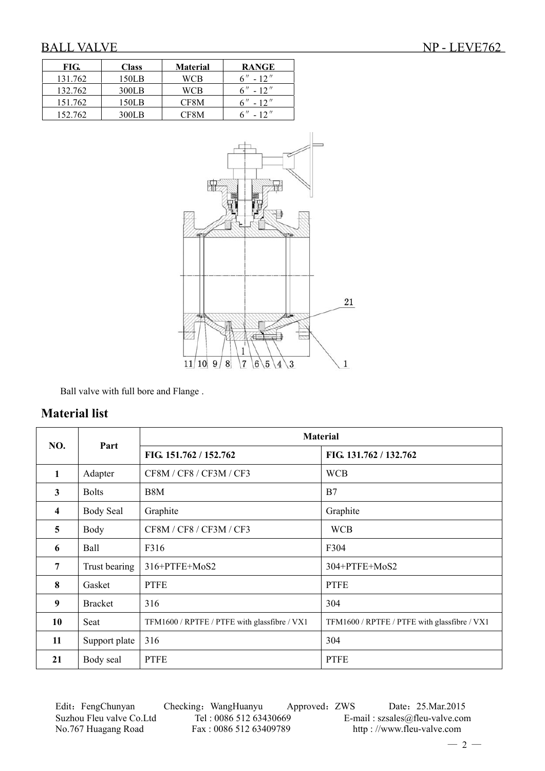| FIG.    | <b>Class</b> | <b>Material</b> | <b>RANGE</b> |
|---------|--------------|-----------------|--------------|
| 131.762 | 150LB        | WCB             | $6'' - 12''$ |
| 132.762 | 300LB        | WCB             | $6'' - 12''$ |
| 151.762 | 150LB        | CF8M            | $6'' - 12''$ |
| 152.762 | 300LB        | CF8M            | $6'' - 12''$ |



Ball valve with full bore and Flange .

#### **Material list**

| NO.                     | Part                  | <b>Material</b>                              |                                              |  |  |  |
|-------------------------|-----------------------|----------------------------------------------|----------------------------------------------|--|--|--|
|                         |                       | FIG. 151.762 / 152.762                       | FIG. 131.762 / 132.762                       |  |  |  |
| $\mathbf{1}$            | Adapter               | CF8M / CF8 / CF3M / CF3                      | <b>WCB</b>                                   |  |  |  |
| $\mathbf{3}$            | <b>Bolts</b>          | B <sub>8</sub> M                             | B7                                           |  |  |  |
| $\overline{\mathbf{4}}$ | <b>Body Seal</b>      | Graphite                                     | Graphite                                     |  |  |  |
| 5                       | Body                  | CF8M / CF8 / CF3M / CF3                      | <b>WCB</b>                                   |  |  |  |
| 6                       | Ball                  | F316                                         | F304                                         |  |  |  |
| $7\phantom{.0}$         | Trust bearing         | 316+PTFE+MoS2                                | 304+PTFE+MoS2                                |  |  |  |
| 8                       | Gasket                | <b>PTFE</b>                                  | <b>PTFE</b>                                  |  |  |  |
| 9                       | <b>Bracket</b><br>316 |                                              | 304                                          |  |  |  |
| 10                      | Seat                  | TFM1600 / RPTFE / PTFE with glassfibre / VX1 | TFM1600 / RPTFE / PTFE with glassfibre / VX1 |  |  |  |
| 11                      | Support plate         | 316                                          | 304                                          |  |  |  |
| 21                      | Body seal             | <b>PTFE</b>                                  | <b>PTFE</b>                                  |  |  |  |

Edit: FengChunyan Checking: WangHuanyu Approved: ZWS Date: 25.Mar.2015 Suzhou Fleu valve Co.Ltd Tel : 0086 512 63430669 E-mail : szsales@fleu-valve.com<br>No.767 Huagang Road Fax : 0086 512 63409789 http : //www.fleu-valve.com

http : //www.fleu-valve.com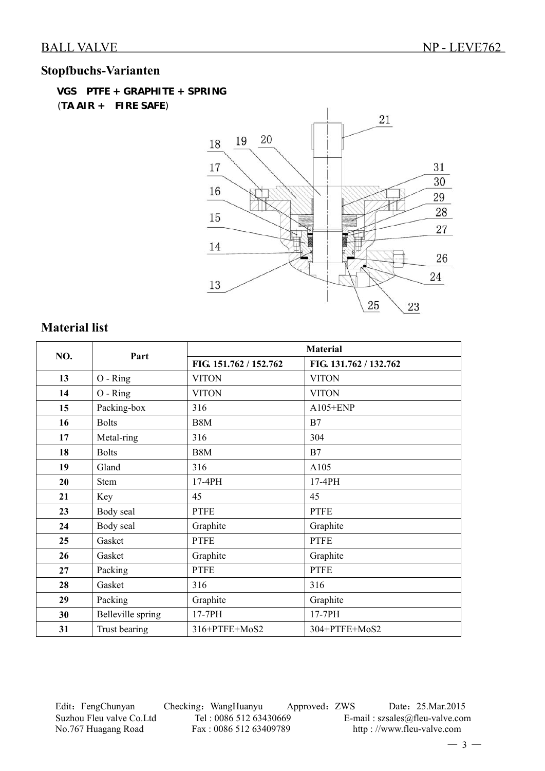## **Stopfbuchs-Varianten**

 **VGS PTFE + GRAPHITE + SPRING**  (**TA AIR + FIRE SAFE**)



## **Material list**

| NO. | Part              | <b>Material</b>        |                        |  |  |
|-----|-------------------|------------------------|------------------------|--|--|
|     |                   | FIG. 151.762 / 152.762 | FIG. 131.762 / 132.762 |  |  |
| 13  | $O - Ring$        | <b>VITON</b>           | <b>VITON</b>           |  |  |
| 14  | O - Ring          | <b>VITON</b>           | <b>VITON</b>           |  |  |
| 15  | Packing-box       | 316                    | A105+ENP               |  |  |
| 16  | <b>Bolts</b>      | B <sub>8</sub> M       | B7                     |  |  |
| 17  | Metal-ring        | 316                    | 304                    |  |  |
| 18  | <b>Bolts</b>      | B8M                    | B7                     |  |  |
| 19  | Gland             | 316                    | A105                   |  |  |
| 20  | <b>Stem</b>       | 17-4PH                 | 17-4PH                 |  |  |
| 21  | Key               | 45                     | 45                     |  |  |
| 23  | Body seal         | <b>PTFE</b>            | <b>PTFE</b>            |  |  |
| 24  | Body seal         | Graphite               | Graphite               |  |  |
| 25  | Gasket            | <b>PTFE</b>            | <b>PTFE</b>            |  |  |
| 26  | Gasket            | Graphite               | Graphite               |  |  |
| 27  | Packing           | <b>PTFE</b>            | <b>PTFE</b>            |  |  |
| 28  | Gasket            | 316                    | 316                    |  |  |
| 29  | Packing           | Graphite               | Graphite               |  |  |
| 30  | Belleville spring | 17-7PH                 | 17-7PH                 |  |  |
| 31  | Trust bearing     | 316+PTFE+MoS2          | 304+PTFE+MoS2          |  |  |

Edit: FengChunyan Checking: WangHuanyu Approved: ZWS Date: 25.Mar.2015 Suzhou Fleu valve Co.Ltd Tel : 0086 512 63430669 E-mail : szsales@fleu-valve.com<br>No.767 Huagang Road Fax : 0086 512 63409789 http : //www.fleu-valve.com

http : //www.fleu-valve.com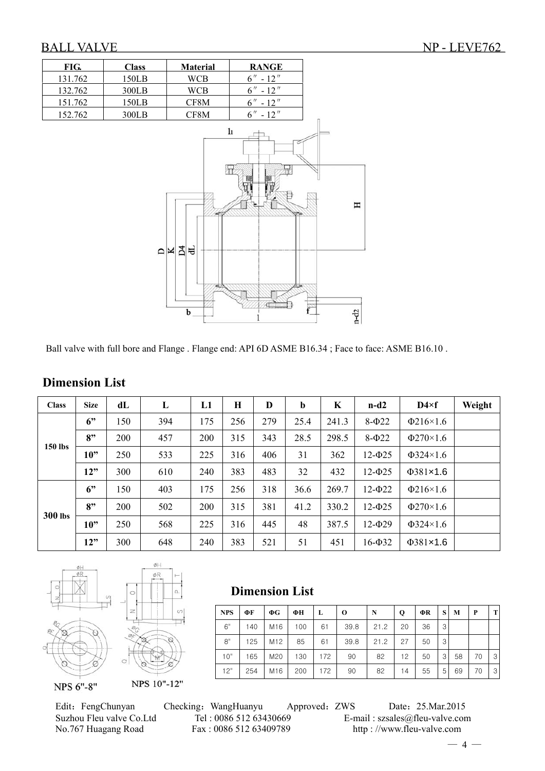

Ball valve with full bore and Flange . Flange end: API 6D ASME B16.34 ; Face to face: ASME B16.10 .

| <b>Class</b>   | <b>Size</b> | dL  | L   | L1         | Н   | D   | b    | K     | $n-d2$      | $D4 \times f$  | Weight |
|----------------|-------------|-----|-----|------------|-----|-----|------|-------|-------------|----------------|--------|
|                | 6"          | 150 | 394 | 175        | 256 | 279 | 25.4 | 241.3 | $8-\Phi$ 22 | $\Phi$ 216×1.6 |        |
|                | 8"          | 200 | 457 | <b>200</b> | 315 | 343 | 28.5 | 298.5 | $8-\Phi$ 22 | $\Phi$ 270×1.6 |        |
| 150 lbs        | 10"         | 250 | 533 | 225        | 316 | 406 | 31   | 362   | $12 - 025$  | $\Phi$ 324×1.6 |        |
|                | 12"         | 300 | 610 | 240        | 383 | 483 | 32   | 432   | $12 - 025$  | $\Phi$ 381×1.6 |        |
|                | 6"          | 150 | 403 | 175        | 256 | 318 | 36.6 | 269.7 | $12 - 022$  | $\Phi$ 216×1.6 |        |
|                | 8"          | 200 | 502 | <b>200</b> | 315 | 381 | 41.2 | 330.2 | $12 - 025$  | $\Phi$ 270×1.6 |        |
| <b>300 lbs</b> | 10"         | 250 | 568 | 225        | 316 | 445 | 48   | 387.5 | $12 - 029$  | $\Phi$ 324×1.6 |        |
|                | 12"         | 300 | 648 | 240        | 383 | 521 | 51   | 451   | $16 - 032$  | $\Phi$ 381×1.6 |        |

 **Dimension List** 

## **Dimension List**





Edit: FengChunyan Checking: WangHuanyu Approved: ZWS Date: 25.Mar.2015 Suzhou Fleu valve Co.Ltd Tel : 0086 512 63430669 E-mail : szsales@fleu-valve.com<br>No.767 Huagang Road Fax : 0086 512 63409789 http : //www.fleu-valve.com No.767 Huagang Road Fax : 0086 512 63409789 http : //www.fleu-valve.com

**NPS ΦF ΦG ΦH L O N Q ΦR S M P T**

10" | 165 | M20 | 130 | 172 | 90 | 82 | 12 | 50 | 3 | 58 | 70 | 3 12" | 254 | M16 | 200 | 172 | 90 | 82 | 14 | 55 | 5 | 69 | 70 | 3

6" | 140 | M16 | 100 | 61 | 39.8 | 21.2 | 20 | 36 | 3 8" | 125 | M12 | 85 | 61 | 39.8 | 21.2 | 27 | 50 | 3